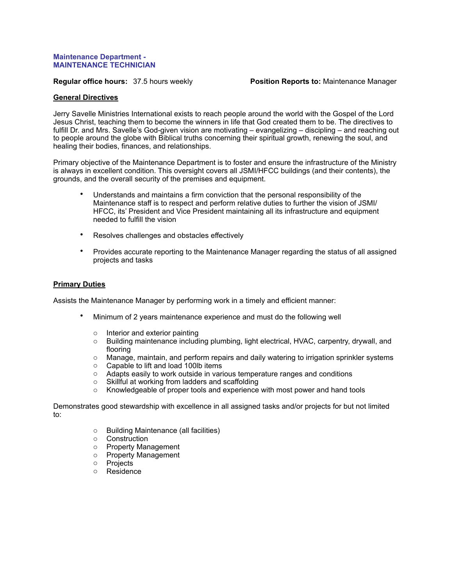## **Maintenance Department - MAINTENANCE TECHNICIAN**

**Regular office hours:** 37.5 hours weekly **Position Reports to:** Maintenance Manager

## **General Directives**

Jerry Savelle Ministries International exists to reach people around the world with the Gospel of the Lord Jesus Christ, teaching them to become the winners in life that God created them to be. The directives to fulfill Dr. and Mrs. Savelle's God-given vision are motivating – evangelizing – discipling – and reaching out to people around the globe with Biblical truths concerning their spiritual growth, renewing the soul, and healing their bodies, finances, and relationships.

Primary objective of the Maintenance Department is to foster and ensure the infrastructure of the Ministry is always in excellent condition. This oversight covers all JSMI/HFCC buildings (and their contents), the grounds, and the overall security of the premises and equipment.

- Understands and maintains a firm conviction that the personal responsibility of the Maintenance staff is to respect and perform relative duties to further the vision of JSMI/ HFCC, its' President and Vice President maintaining all its infrastructure and equipment needed to fulfill the vision
- Resolves challenges and obstacles effectively
- Provides accurate reporting to the Maintenance Manager regarding the status of all assigned projects and tasks

## **Primary Duties**

Assists the Maintenance Manager by performing work in a timely and efficient manner:

- Minimum of 2 years maintenance experience and must do the following well
	- o Interior and exterior painting
	- o Building maintenance including plumbing, light electrical, HVAC, carpentry, drywall, and flooring
	- o Manage, maintain, and perform repairs and daily watering to irrigation sprinkler systems
	- o Capable to lift and load 100lb items
	- o Adapts easily to work outside in various temperature ranges and conditions
	- o Skillful at working from ladders and scaffolding
	- $\circ$  Knowledgeable of proper tools and experience with most power and hand tools

Demonstrates good stewardship with excellence in all assigned tasks and/or projects for but not limited to:

- o Building Maintenance (all facilities)
- o Construction
- o Property Management
- o Property Management
- o Projects
- o Residence